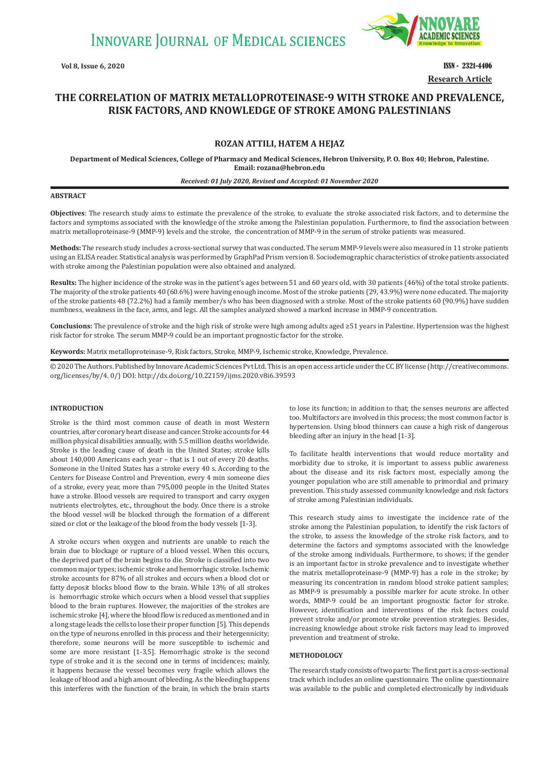

**Vol 8, Issue 6, 2020 ISSN - 2321-4406 Research Article**

# **THE CORRELATION OF MATRIX METALLOPROTEINASE-9 WITH STROKE AND PREVALENCE, RISK FACTORS, AND KNOWLEDGE OF STROKE AMONG PALESTINIANS**

# **ROZAN ATTILI, HATEM A HEJAZ**

**Department of Medical Sciences, College of Pharmacy and Medical Sciences, Hebron University, P. O. Box 40; Hebron, Palestine. Email: rozana@hebron.edu**

#### *Received: 01 July 2020, Revised and Accepted: 01 November 2020*

## **ABSTRACT**

**Objectives**: The research study aims to estimate the prevalence of the stroke, to evaluate the stroke associated risk factors, and to determine the factors and symptoms associated with the knowledge of the stroke among the Palestinian population. Furthermore, to find the association between matrix metalloproteinase-9 (MMP-9) levels and the stroke, the concentration of MMP-9 in the serum of stroke patients was measured.

**Methods:** The research study includes a cross-sectional survey that was conducted. The serum MMP-9 levels were also measured in 11 stroke patients using an ELISA reader. Statistical analysis was performed by GraphPad Prism version 8. Sociodemographic characteristics of stroke patients associated with stroke among the Palestinian population were also obtained and analyzed.

**Results:** The higher incidence of the stroke was in the patient's ages between 51 and 60 years old, with 30 patients (46%) of the total stroke patients. The majority of the stroke patients 40 (60.6%) were having enough income. Most of the stroke patients (29, 43.9%) were none educated. The majority of the stroke patients 48 (72.2%) had a family member/s who has been diagnosed with a stroke. Most of the stroke patients 60 (90.9%) have sudden numbness, weakness in the face, arms, and legs. All the samples analyzed showed a marked increase in MMP-9 concentration.

**Conclusions:** The prevalence of stroke and the high risk of stroke were high among adults aged ≥51 years in Palestine. Hypertension was the highest risk factor for stroke. The serum MMP-9 could be an important prognostic factor for the stroke.

**Keywords:** Matrix metalloproteinase-9, Risk factors, Stroke, MMP-9, Ischemic stroke, Knowledge, Prevalence.

© 2020 The Authors. Published by Innovare Academic Sciences Pvt Ltd. This is an open access article under the CC BY license (http://creativecommons. org/licenses/by/4. 0/) DOI: http://dx.doi.org/10.22159/ijms.2020.v8i6.39593

#### **INTRODUCTION**

Stroke is the third most common cause of death in most Western countries, after coronary heart disease and cancer. Stroke accounts for 44 million physical disabilities annually, with 5.5 million deaths worldwide. Stroke is the leading cause of death in the United States; stroke kills about 140,000 Americans each year – that is 1 out of every 20 deaths. Someone in the United States has a stroke every 40 s. According to the Centers for Disease Control and Prevention, every 4 min someone dies of a stroke, every year, more than 795,000 people in the United States have a stroke. Blood vessels are required to transport and carry oxygen nutrients electrolytes, etc., throughout the body. Once there is a stroke the blood vessel will be blocked through the formation of a different sized or clot or the leakage of the blood from the body vessels [1-3].

A stroke occurs when oxygen and nutrients are unable to reach the brain due to blockage or rupture of a blood vessel. When this occurs, the deprived part of the brain begins to die. Stroke is classified into two common major types; ischemic stroke and hemorrhagic stroke. Ischemic stroke accounts for 87% of all strokes and occurs when a blood clot or fatty deposit blocks blood flow to the brain. While 13% of all strokes is hemorrhagic stroke which occurs when a blood vessel that supplies blood to the brain ruptures. However, the majorities of the strokes are ischemic stroke [4], where the blood flow is reduced as mentioned and in a long stage leads the cells to lose their proper function [5]. This depends on the type of neurons enrolled in this process and their hetergennicity; therefore, some neurons will be more susceptible to ischemic and some are more resistant [1-3,5]. Hemorrhagic stroke is the second type of stroke and it is the second one in terms of incidences; mainly, it happens because the vessel becomes very fragile which allows the leakage of blood and a high amount of bleeding. As the bleeding happens this interferes with the function of the brain, in which the brain starts to lose its function; in addition to that; the senses neurons are affected too. Multifactors are involved in this process; the most common factor is hypertension. Using blood thinners can cause a high risk of dangerous bleeding after an injury in the head [1-3].

To facilitate health interventions that would reduce mortality and morbidity due to stroke, it is important to assess public awareness about the disease and its risk factors most, especially among the younger population who are still amenable to primordial and primary prevention. This study assessed community knowledge and risk factors of stroke among Palestinian individuals.

This research study aims to investigate the incidence rate of the stroke among the Palestinian population, to identify the risk factors of the stroke, to assess the knowledge of the stroke risk factors, and to determine the factors and symptoms associated with the knowledge of the stroke among individuals. Furthermore, to shows; if the gender is an important factor in stroke prevalence and to investigate whether the matrix metalloproteinase-9 (MMP-9) has a role in the stroke; by measuring its concentration in random blood stroke patient samples; as MMP-9 is presumably a possible marker for acute stroke. In other words, MMP-9 could be an important prognostic factor for stroke. However, identification and interventions of the risk factors could prevent stroke and/or promote stroke prevention strategies. Besides, increasing knowledge about stroke risk factors may lead to improved prevention and treatment of stroke.

## **METHODOLOGY**

The research study consists of two parts: The first part is a cross-sectional track which includes an online questionnaire. The online questionnaire was available to the public and completed electronically by individuals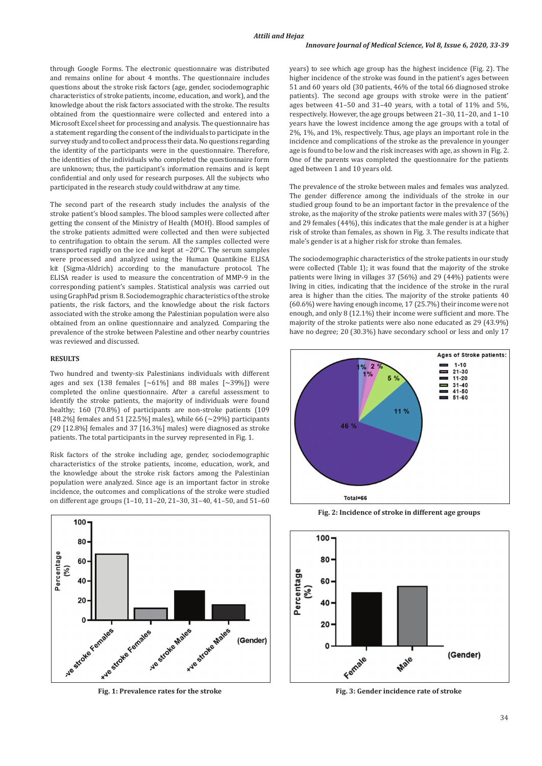through Google Forms. The electronic questionnaire was distributed and remains online for about 4 months. The questionnaire includes questions about the stroke risk factors (age, gender, sociodemographic characteristics of stroke patients, income, education, and work), and the knowledge about the risk factors associated with the stroke. The results obtained from the questionnaire were collected and entered into a Microsoft Excel sheet for processing and analysis. The questionnaire has a statement regarding the consent of the individuals to participate in the survey study and to collect and process their data. No questions regarding the identity of the participants were in the questionnaire. Therefore, the identities of the individuals who completed the questionnaire form are unknown; thus, the participant's information remains and is kept confidential and only used for research purposes. All the subjects who participated in the research study could withdraw at any time.

The second part of the research study includes the analysis of the stroke patient's blood samples. The blood samples were collected after getting the consent of the Ministry of Health (MOH). Blood samples of the stroke patients admitted were collected and then were subjected to centrifugation to obtain the serum. All the samples collected were transported rapidly on the ice and kept at −20°C. The serum samples were processed and analyzed using the Human Quantikine ELISA kit (Sigma-Aldrich) according to the manufacture protocol. The ELISA reader is used to measure the concentration of MMP-9 in the corresponding patient's samples. Statistical analysis was carried out using GraphPad prism 8. Sociodemographic characteristics of the stroke patients, the risk factors, and the knowledge about the risk factors associated with the stroke among the Palestinian population were also obtained from an online questionnaire and analyzed. Comparing the prevalence of the stroke between Palestine and other nearby countries was reviewed and discussed.

## **RESULTS**

Two hundred and twenty-six Palestinians individuals with different ages and sex  $(138 \text{ females } [\sim 61\%]$  and 88 males  $[\sim 39\%])$  were completed the online questionnaire. After a careful assessment to identify the stroke patients, the majority of individuals were found healthy; 160 (70.8%) of participants are non-stroke patients (109 [48.2%] females and 51 [22.5%] males), while 66  $(-29%)$  participants (29 [12.8%] females and 37 [16.3%] males) were diagnosed as stroke patients. The total participants in the survey represented in Fig. 1.

Risk factors of the stroke including age, gender, sociodemographic characteristics of the stroke patients, income, education, work, and the knowledge about the stroke risk factors among the Palestinian population were analyzed. Since age is an important factor in stroke incidence, the outcomes and complications of the stroke were studied on different age groups (1–10, 11–20, 21–30, 31–40, 41–50, and 51–60



**Fig. 1: Prevalence rates for the stroke**

years) to see which age group has the highest incidence (Fig. 2). The higher incidence of the stroke was found in the patient's ages between 51 and 60 years old (30 patients, 46% of the total 66 diagnosed stroke patients). The second age groups with stroke were in the patient' ages between 41–50 and 31–40 years, with a total of 11% and 5%, respectively. However, the age groups between 21–30, 11–20, and 1–10 years have the lowest incidence among the age groups with a total of 2%, 1%, and 1%, respectively. Thus, age plays an important role in the incidence and complications of the stroke as the prevalence in younger age is found to be low and the risk increases with age, as shown in Fig. 2. One of the parents was completed the questionnaire for the patients aged between 1 and 10 years old.

The prevalence of the stroke between males and females was analyzed. The gender difference among the individuals of the stroke in our studied group found to be an important factor in the prevalence of the stroke, as the majority of the stroke patients were males with 37 (56%) and 29 females (44%), this indicates that the male gender is at a higher risk of stroke than females, as shown in Fig. 3. The results indicate that male's gender is at a higher risk for stroke than females.

The sociodemographic characteristics of the stroke patients in our study were collected (Table 1); it was found that the majority of the stroke patients were living in villages 37 (56%) and 29 (44%) patients were living in cities, indicating that the incidence of the stroke in the rural area is higher than the cities. The majority of the stroke patients 40 (60.6%) were having enough income, 17 (25.7%) their income were not enough, and only 8 (12.1%) their income were sufficient and more. The majority of the stroke patients were also none educated as 29 (43.9%) have no degree; 20 (30.3%) have secondary school or less and only 17



**Fig. 2: Incidence of stroke in different age groups**



**Fig. 3: Gender incidence rate of stroke**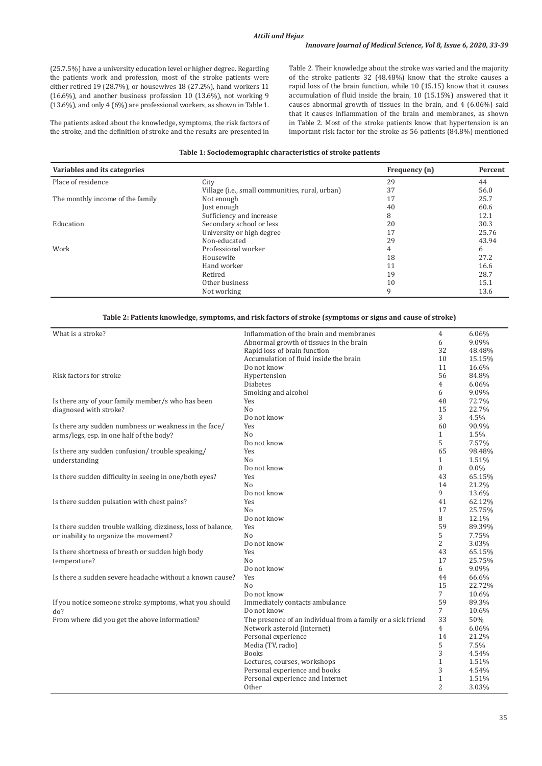(25.7.5%) have a university education level or higher degree. Regarding the patients work and profession, most of the stroke patients were either retired 19 (28.7%), or housewives 18 (27.2%), hand workers 11 (16.6%), and another business profession 10 (13.6%), not working 9 (13.6%), and only 4 (6%) are professional workers, as shown in Table 1.

The patients asked about the knowledge, symptoms, the risk factors of the stroke, and the definition of stroke and the results are presented in Table 2. Their knowledge about the stroke was varied and the majority of the stroke patients 32 (48.48%) know that the stroke causes a rapid loss of the brain function, while 10 (15.15) know that it causes accumulation of fluid inside the brain, 10 (15.15%) answered that it causes abnormal growth of tissues in the brain, and 4 (6.06%) said that it causes inflammation of the brain and membranes, as shown in Table 2. Most of the stroke patients know that hypertension is an important risk factor for the stroke as 56 patients (84.8%) mentioned

## **Table 1: Sociodemographic characteristics of stroke patients**

| Variables and its categories     |                                                          | Frequency (n) | Percent |
|----------------------------------|----------------------------------------------------------|---------------|---------|
| Place of residence               | City                                                     | 29            | 44      |
|                                  | Village ( <i>i.e.</i> , small communities, rural, urban) | 37            | 56.0    |
| The monthly income of the family | Not enough                                               | 17            | 25.7    |
|                                  | Just enough                                              | 40            | 60.6    |
|                                  | Sufficiency and increase                                 | 8             | 12.1    |
| Education                        | Secondary school or less                                 | 20            | 30.3    |
|                                  | University or high degree                                | 17            | 25.76   |
|                                  | Non-educated                                             | 29            | 43.94   |
| Work                             | Professional worker                                      | 4             | 6       |
|                                  | Housewife                                                | 18            | 27.2    |
|                                  | Hand worker                                              | 11            | 16.6    |
|                                  | Retired                                                  | 19            | 28.7    |
|                                  | Other business                                           | 10            | 15.1    |
|                                  | Not working                                              | 9             | 13.6    |

## **Table 2: Patients knowledge, symptoms, and risk factors of stroke (symptoms or signs and cause of stroke)**

| What is a stroke?                                            | Inflammation of the brain and membranes                      |                  | 6.06%    |
|--------------------------------------------------------------|--------------------------------------------------------------|------------------|----------|
|                                                              | Abnormal growth of tissues in the brain                      |                  | 9.09%    |
|                                                              | Rapid loss of brain function                                 | 32               | 48.48%   |
|                                                              | Accumulation of fluid inside the brain                       | 10               | 15.15%   |
|                                                              | Do not know                                                  | 11               | 16.6%    |
| Risk factors for stroke                                      | Hypertension                                                 | 56               | 84.8%    |
|                                                              | <b>Diabetes</b>                                              | 4                | 6.06%    |
|                                                              | Smoking and alcohol                                          | 6                | 9.09%    |
| Is there any of your family member/s who has been            | Yes                                                          | 48               | 72.7%    |
| diagnosed with stroke?                                       | N <sub>o</sub>                                               | 15               | 22.7%    |
|                                                              | Do not know                                                  | 3                | 4.5%     |
| Is there any sudden numbness or weakness in the face/        | Yes                                                          | 60               | 90.9%    |
| arms/legs, esp. in one half of the body?                     | N <sub>0</sub>                                               | $\mathbf{1}$     | 1.5%     |
|                                                              | Do not know                                                  | 5                | 7.57%    |
| Is there any sudden confusion/trouble speaking/              | Yes                                                          | 65               | 98.48%   |
| understanding                                                | N <sub>o</sub>                                               | $\mathbf{1}$     | 1.51%    |
|                                                              | Do not know                                                  | $\boldsymbol{0}$ | $0.0\%$  |
| Is there sudden difficulty in seeing in one/both eyes?       | Yes                                                          | 43               | 65.15%   |
|                                                              | N <sub>o</sub>                                               | 14               | 21.2%    |
|                                                              | Do not know                                                  | 9                | 13.6%    |
| Is there sudden pulsation with chest pains?                  | Yes                                                          | 41               | 62.12%   |
|                                                              | N <sub>o</sub>                                               | 17               | 25.75%   |
|                                                              | Do not know                                                  | 8                | 12.1%    |
| Is there sudden trouble walking, dizziness, loss of balance, | Yes                                                          | 59               | 89.39%   |
| or inability to organize the movement?                       | N <sub>o</sub>                                               | 5                | 7.75%    |
|                                                              | Do not know                                                  | $\overline{2}$   | 3.03%    |
| Is there shortness of breath or sudden high body             | Yes                                                          | 43               | 65.15%   |
| temperature?                                                 | N <sub>o</sub>                                               | 17               | 25.75%   |
|                                                              | Do not know                                                  | 6                | 9.09%    |
| Is there a sudden severe headache without a known cause?     | Yes                                                          | 44               | 66.6%    |
|                                                              | N <sub>0</sub>                                               | 15               | 22.72%   |
|                                                              | Do not know                                                  | 7                | 10.6%    |
| If you notice someone stroke symptoms, what you should       | Immediately contacts ambulance                               | 59               | 89.3%    |
| do?                                                          | Do not know                                                  | $\overline{7}$   | 10.6%    |
| From where did you get the above information?                | The presence of an individual from a family or a sick friend | 33               | 50%      |
|                                                              | Network asteroid (internet)                                  | $\overline{4}$   | $6.06\%$ |
|                                                              | Personal experience                                          | 14               | 21.2%    |
|                                                              | Media (TV, radio)                                            | 5                | 7.5%     |
|                                                              | <b>Books</b>                                                 | 3                | 4.54%    |
|                                                              | Lectures, courses, workshops                                 | $\mathbf{1}$     | 1.51%    |
|                                                              | Personal experience and books                                | 3                | 4.54%    |
|                                                              | Personal experience and Internet                             | $\mathbf{1}$     | 1.51%    |
|                                                              | Other                                                        | $\overline{2}$   | 3.03%    |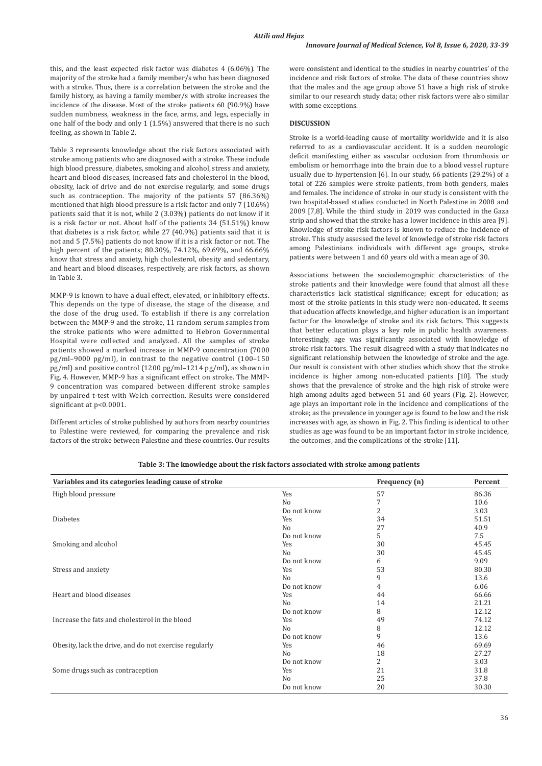this, and the least expected risk factor was diabetes 4 (6.06%). The majority of the stroke had a family member/s who has been diagnosed with a stroke. Thus, there is a correlation between the stroke and the family history, as having a family member/s with stroke increases the incidence of the disease. Most of the stroke patients 60 (90.9%) have sudden numbness, weakness in the face, arms, and legs, especially in one half of the body and only 1 (1.5%) answered that there is no such feeling, as shown in Table 2.

Table 3 represents knowledge about the risk factors associated with stroke among patients who are diagnosed with a stroke. These include high blood pressure, diabetes, smoking and alcohol, stress and anxiety, heart and blood diseases, increased fats and cholesterol in the blood, obesity, lack of drive and do not exercise regularly, and some drugs such as contraception. The majority of the patients 57 (86.36%) mentioned that high blood pressure is a risk factor and only 7 (10.6%) patients said that it is not, while 2 (3.03%) patients do not know if it is a risk factor or not. About half of the patients 34 (51.51%) know that diabetes is a risk factor, while 27 (40.9%) patients said that it is not and 5 (7.5%) patients do not know if it is a risk factor or not. The high percent of the patients; 80.30%, 74.12%, 69.69%, and 66.66% know that stress and anxiety, high cholesterol, obesity and sedentary, and heart and blood diseases, respectively, are risk factors, as shown in Table 3.

MMP-9 is known to have a dual effect, elevated, or inhibitory effects. This depends on the type of disease, the stage of the disease, and the dose of the drug used. To establish if there is any correlation between the MMP-9 and the stroke, 11 random serum samples from the stroke patients who were admitted to Hebron Governmental Hospital were collected and analyzed. All the samples of stroke patients showed a marked increase in MMP-9 concentration (7000 pg/ml–9000 pg/ml), in contrast to the negative control (100–150 pg/ml) and positive control (1200 pg/ml–1214 pg/ml), as shown in Fig. 4. However, MMP-9 has a significant effect on stroke. The MMP-9 concentration was compared between different stroke samples by unpaired t-test with Welch correction. Results were considered significant at p<0.0001.

Different articles of stroke published by authors from nearby countries to Palestine were reviewed, for comparing the prevalence and risk factors of the stroke between Palestine and these countries. Our results were consistent and identical to the studies in nearby countries' of the incidence and risk factors of stroke. The data of these countries show that the males and the age group above 51 have a high risk of stroke similar to our research study data; other risk factors were also similar with some exceptions.

## **DISCUSSION**

Stroke is a world-leading cause of mortality worldwide and it is also referred to as a cardiovascular accident. It is a sudden neurologic deficit manifesting either as vascular occlusion from thrombosis or embolism or hemorrhage into the brain due to a blood vessel rupture usually due to hypertension [6]. In our study, 66 patients (29.2%) of a total of 226 samples were stroke patients, from both genders, males and females. The incidence of stroke in our study is consistent with the two hospital-based studies conducted in North Palestine in 2008 and 2009 [7,8]. While the third study in 2019 was conducted in the Gaza strip and showed that the stroke has a lower incidence in this area [9]. Knowledge of stroke risk factors is known to reduce the incidence of stroke. This study assessed the level of knowledge of stroke risk factors among Palestinians individuals with different age groups, stroke patients were between 1 and 60 years old with a mean age of 30.

Associations between the sociodemographic characteristics of the stroke patients and their knowledge were found that almost all these characteristics lack statistical significance; except for education; as most of the stroke patients in this study were non-educated. It seems that education affects knowledge, and higher education is an important factor for the knowledge of stroke and its risk factors. This suggests that better education plays a key role in public health awareness. Interestingly, age was significantly associated with knowledge of stroke risk factors. The result disagreed with a study that indicates no significant relationship between the knowledge of stroke and the age. Our result is consistent with other studies which show that the stroke incidence is higher among non-educated patients [10]. The study shows that the prevalence of stroke and the high risk of stroke were high among adults aged between 51 and 60 years (Fig. 2). However, age plays an important role in the incidence and complications of the stroke; as the prevalence in younger age is found to be low and the risk increases with age, as shown in Fig. 2. This finding is identical to other studies as age was found to be an important factor in stroke incidence, the outcomes, and the complications of the stroke [11].

| Variables and its categories leading cause of stroke   |                | Frequency (n)  | Percent |
|--------------------------------------------------------|----------------|----------------|---------|
| High blood pressure                                    | Yes            | 57             | 86.36   |
|                                                        | N <sub>0</sub> | 7              | 10.6    |
|                                                        | Do not know    | $\overline{2}$ | 3.03    |
| Diabetes                                               | Yes            | 34             | 51.51   |
|                                                        | N <sub>0</sub> | 27             | 40.9    |
|                                                        | Do not know    | 5              | 7.5     |
| Smoking and alcohol                                    | Yes            | 30             | 45.45   |
|                                                        | N <sub>0</sub> | 30             | 45.45   |
|                                                        | Do not know    | 6              | 9.09    |
| Stress and anxiety                                     | Yes            | 53             | 80.30   |
|                                                        | N <sub>0</sub> | 9              | 13.6    |
|                                                        | Do not know    | 4              | 6.06    |
| Heart and blood diseases                               | Yes            | 44             | 66.66   |
|                                                        | N <sub>0</sub> | 14             | 21.21   |
|                                                        | Do not know    | 8              | 12.12   |
| Increase the fats and cholesterol in the blood         | Yes            | 49             | 74.12   |
|                                                        | N <sub>0</sub> | 8              | 12.12   |
|                                                        | Do not know    | 9              | 13.6    |
| Obesity, lack the drive, and do not exercise regularly | Yes            | 46             | 69.69   |
|                                                        | N <sub>0</sub> | 18             | 27.27   |
|                                                        | Do not know    | 2              | 3.03    |
| Some drugs such as contraception                       | Yes            | 21             | 31.8    |
|                                                        | N <sub>0</sub> | 25             | 37.8    |
|                                                        | Do not know    | 20             | 30.30   |

**Table 3: The knowledge about the risk factors associated with stroke among patients**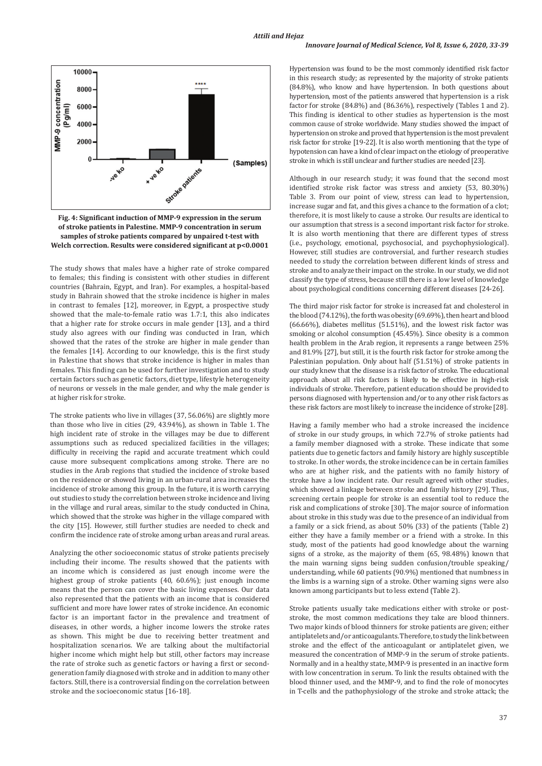## *Innovare Journal of Medical Science, Vol 8, Issue 6, 2020, 33-39*





The study shows that males have a higher rate of stroke compared to females; this finding is consistent with other studies in different countries (Bahrain, Egypt, and Iran). For examples, a hospital-based study in Bahrain showed that the stroke incidence is higher in males in contrast to females [12], moreover, in Egypt, a prospective study showed that the male-to-female ratio was 1.7:1, this also indicates that a higher rate for stroke occurs in male gender [13], and a third study also agrees with our finding was conducted in Iran, which showed that the rates of the stroke are higher in male gender than the females [14]. According to our knowledge, this is the first study in Palestine that shows that stroke incidence is higher in males than females. This finding can be used for further investigation and to study certain factors such as genetic factors, diet type, lifestyle heterogeneity of neurons or vessels in the male gender, and why the male gender is at higher risk for stroke.

The stroke patients who live in villages (37, 56.06%) are slightly more than those who live in cities (29, 43.94%), as shown in Table 1. The high incident rate of stroke in the villages may be due to different assumptions such as reduced specialized facilities in the villages; difficulty in receiving the rapid and accurate treatment which could cause more subsequent complications among stroke. There are no studies in the Arab regions that studied the incidence of stroke based on the residence or showed living in an urban-rural area increases the incidence of stroke among this group. In the future, it is worth carrying out studies to study the correlation between stroke incidence and living in the village and rural areas, similar to the study conducted in China, which showed that the stroke was higher in the village compared with the city [15]. However, still further studies are needed to check and confirm the incidence rate of stroke among urban areas and rural areas.

Analyzing the other socioeconomic status of stroke patients precisely including their income. The results showed that the patients with an income which is considered as just enough income were the highest group of stroke patients (40, 60.6%); just enough income means that the person can cover the basic living expenses. Our data also represented that the patients with an income that is considered sufficient and more have lower rates of stroke incidence. An economic factor is an important factor in the prevalence and treatment of diseases, in other words, a higher income lowers the stroke rates as shown. This might be due to receiving better treatment and hospitalization scenarios. We are talking about the multifactorial higher income which might help but still, other factors may increase the rate of stroke such as genetic factors or having a first or secondgeneration family diagnosed with stroke and in addition to many other factors. Still, there is a controversial finding on the correlation between stroke and the socioeconomic status [16-18].

Hypertension was found to be the most commonly identified risk factor in this research study; as represented by the majority of stroke patients (84.8%), who know and have hypertension. In both questions about hypertension, most of the patients answered that hypertension is a risk factor for stroke (84.8%) and (86.36%), respectively (Tables 1 and 2). This finding is identical to other studies as hypertension is the most common cause of stroke worldwide. Many studies showed the impact of hypertension on stroke and proved that hypertension is the most prevalent risk factor for stroke [19-22]. It is also worth mentioning that the type of hypotension can have a kind of clear impact on the etiology of preoperative stroke in which is still unclear and further studies are needed [23].

Although in our research study; it was found that the second most identified stroke risk factor was stress and anxiety (53, 80.30%) Table 3. From our point of view, stress can lead to hypertension, increase sugar and fat, and this gives a chance to the formation of a clot; therefore, it is most likely to cause a stroke. Our results are identical to our assumption that stress is a second important risk factor for stroke. It is also worth mentioning that there are different types of stress (i.e., psychology, emotional, psychosocial, and psychophysiological). However, still studies are controversial, and further research studies needed to study the correlation between different kinds of stress and stroke and to analyze their impact on the stroke. In our study, we did not classify the type of stress, because still there is a low level of knowledge about psychological conditions concerning different diseases [24-26].

The third major risk factor for stroke is increased fat and cholesterol in the blood (74.12%), the forth was obesity (69.69%), then heart and blood (66.66%), diabetes mellitus (51.51%), and the lowest risk factor was smoking or alcohol consumption (45.45%). Since obesity is a common health problem in the Arab region, it represents a range between 25% and 81.9% [27], but still, it is the fourth risk factor for stroke among the Palestinian population. Only about half (51.51%) of stroke patients in our study knew that the disease is a risk factor of stroke. The educational approach about all risk factors is likely to be effective in high-risk individuals of stroke. Therefore, patient education should be provided to persons diagnosed with hypertension and/or to any other risk factors as these risk factors are most likely to increase the incidence of stroke [28].

Having a family member who had a stroke increased the incidence of stroke in our study groups, in which 72.7% of stroke patients had a family member diagnosed with a stroke. These indicate that some patients due to genetic factors and family history are highly susceptible to stroke. In other words, the stroke incidence can be in certain families who are at higher risk, and the patients with no family history of stroke have a low incident rate. Our result agreed with other studies, which showed a linkage between stroke and family history [29]. Thus, screening certain people for stroke is an essential tool to reduce the risk and complications of stroke [30]. The major source of information about stroke in this study was due to the presence of an individual from a family or a sick friend, as about 50% (33) of the patients (Table 2) either they have a family member or a friend with a stroke. In this study, most of the patients had good knowledge about the warning signs of a stroke, as the majority of them (65, 98.48%) known that the main warning signs being sudden confusion/trouble speaking/ understanding, while 60 patients (90.9%) mentioned that numbness in the limbs is a warning sign of a stroke. Other warning signs were also known among participants but to less extend (Table 2).

Stroke patients usually take medications either with stroke or poststroke, the most common medications they take are blood thinners. Two major kinds of blood thinners for stroke patients are given; either antiplatelets and/or anticoagulants. Therefore, to study the link between stroke and the effect of the anticoagulant or antiplatelet given, we measured the concentration of MMP-9 in the serum of stroke patients. Normally and in a healthy state, MMP-9 is presented in an inactive form with low concentration in serum. To link the results obtained with the blood thinner used, and the MMP-9, and to find the role of monocytes in T-cells and the pathophysiology of the stroke and stroke attack; the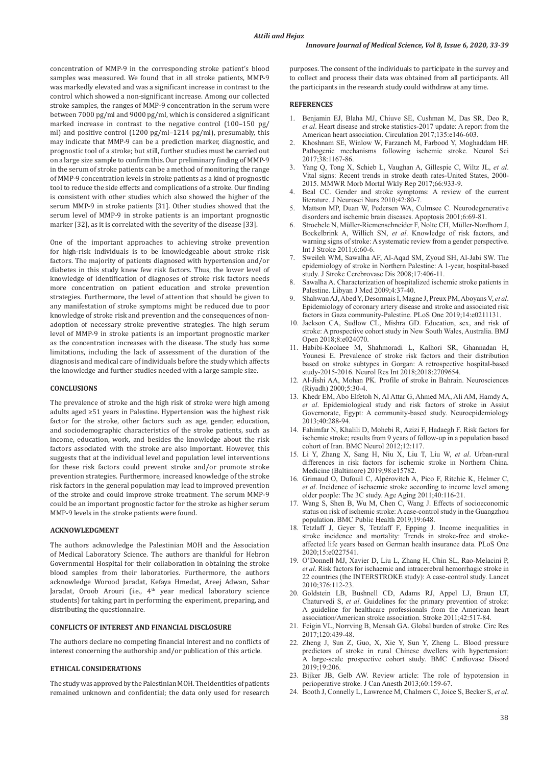concentration of MMP-9 in the corresponding stroke patient's blood samples was measured. We found that in all stroke patients, MMP-9 was markedly elevated and was a significant increase in contrast to the control which showed a non-significant increase. Among our collected stroke samples, the ranges of MMP-9 concentration in the serum were between 7000 pg/ml and 9000 pg/ml, which is considered a significant marked increase in contrast to the negative control (100–150 pg/ ml) and positive control (1200 pg/ml–1214 pg/ml), presumably, this may indicate that MMP-9 can be a prediction marker, diagnostic, and prognostic tool of a stroke; but still, further studies must be carried out on a large size sample to confirm this. Our preliminary finding of MMP-9 in the serum of stroke patients can be a method of monitoring the range of MMP-9 concentration levels in stroke patients as a kind of prognostic tool to reduce the side effects and complications of a stroke. Our finding is consistent with other studies which also showed the higher of the serum MMP-9 in stroke patients [31]. Other studies showed that the serum level of MMP-9 in stroke patients is an important prognostic marker [32], as it is correlated with the severity of the disease [33].

One of the important approaches to achieving stroke prevention for high-risk individuals is to be knowledgeable about stroke risk factors. The majority of patients diagnosed with hypertension and/or diabetes in this study knew few risk factors. Thus, the lower level of knowledge of identification of diagnoses of stroke risk factors needs more concentration on patient education and stroke prevention strategies. Furthermore, the level of attention that should be given to any manifestation of stroke symptoms might be reduced due to poor knowledge of stroke risk and prevention and the consequences of nonadoption of necessary stroke preventive strategies. The high serum level of MMP-9 in stroke patients is an important prognostic marker as the concentration increases with the disease. The study has some limitations, including the lack of assessment of the duration of the diagnosis and medical care of individuals before the study which affects the knowledge and further studies needed with a large sample size.

#### **CONCLUSIONS**

The prevalence of stroke and the high risk of stroke were high among adults aged ≥51 years in Palestine. Hypertension was the highest risk factor for the stroke, other factors such as age, gender, education, and sociodemographic characteristics of the stroke patients, such as income, education, work, and besides the knowledge about the risk factors associated with the stroke are also important. However, this suggests that at the individual level and population level interventions for these risk factors could prevent stroke and/or promote stroke prevention strategies. Furthermore, increased knowledge of the stroke risk factors in the general population may lead to improved prevention of the stroke and could improve stroke treatment. The serum MMP-9 could be an important prognostic factor for the stroke as higher serum MMP-9 levels in the stroke patients were found.

## **ACKNOWLEDGMENT**

The authors acknowledge the Palestinian MOH and the Association of Medical Laboratory Science. The authors are thankful for Hebron Governmental Hospital for their collaboration in obtaining the stroke blood samples from their laboratories. Furthermore, the authors acknowledge Worood Jaradat, Kefaya Hmedat, Areej Adwan, Sahar Jaradat, Oroob Arouri (i.e., 4<sup>th</sup> year medical laboratory science students) for taking part in performing the experiment, preparing, and distributing the questionnaire.

## **CONFLICTS OF INTEREST AND FINANCIAL DISCLOSURE**

The authors declare no competing financial interest and no conflicts of interest concerning the authorship and/or publication of this article.

#### **ETHICAL CONSIDERATIONS**

The study was approved by the Palestinian MOH. The identities of patients remained unknown and confidential; the data only used for research

purposes. The consent of the individuals to participate in the survey and to collect and process their data was obtained from all participants. All the participants in the research study could withdraw at any time.

#### **REFERENCES**

- 1. Benjamin EJ, Blaha MJ, Chiuve SE, Cushman M, Das SR, Deo R, *et al*. Heart disease and stroke statistics-2017 update: A report from the American heart association. Circulation 2017;135:e146-603.
- 2. Khoshnam SE, Winlow W, Farzaneh M, Farbood Y, Moghaddam HF. Pathogenic mechanisms following ischemic stroke. Neurol Sci 2017;38:1167-86.
- 3. Yang Q, Tong X, Schieb L, Vaughan A, Gillespie C, Wiltz JL, *et al*. Vital signs: Recent trends in stroke death rates-United States, 2000- 2015. MMWR Morb Mortal Wkly Rep 2017;66:933-9.
- Beal CC. Gender and stroke symptoms: A review of the current literature. J Neurosci Nurs 2010;42:80-7.
- 5. Mattson MP, Duan W, Pedersen WA, Culmsee C. Neurodegenerative disorders and ischemic brain diseases. Apoptosis 2001;6:69-81.
- 6. Stroebele N, Müller-Riemenschneider F, Nolte CH, Müller-Nordhorn J, Bockelbrink A, Willich SN, *et al*. Knowledge of risk factors, and warning signs of stroke: A systematic review from a gender perspective. Int J Stroke 2011;6:60-6.
- 7. Sweileh WM, Sawalha AF, Al-Aqad SM, Zyoud SH, Al-Jabi SW. The epidemiology of stroke in Northern Palestine: A 1-year, hospital-based study. J Stroke Cerebrovasc Dis 2008;17:406-11.
- 8. Sawalha A. Characterization of hospitalized ischemic stroke patients in Palestine. Libyan J Med 2009;4:37-40.
- 9. Shahwan AJ, Abed Y, Desormais I, Magne J, Preux PM, Aboyans V, *et al*. Epidemiology of coronary artery disease and stroke and associated risk factors in Gaza community-Palestine. PLoS One 2019;14:e0211131.
- 10. Jackson CA, Sudlow CL, Mishra GD. Education, sex, and risk of stroke: A prospective cohort study in New South Wales, Australia. BMJ Open 2018;8:e024070.
- 11. Habibi-Koolaee M, Shahmoradi L, Kalhori SR, Ghannadan H, Younesi E. Prevalence of stroke risk factors and their distribution based on stroke subtypes in Gorgan: A retrospective hospital-based study-2015-2016. Neurol Res Int 2018;2018:2709654.
- 12. Al-Jishi AA, Mohan PK. Profile of stroke in Bahrain. Neurosciences (Riyadh) 2000;5:30-4.
- 13. Khedr EM, Abo Elfetoh N, Al Attar G, Ahmed MA, Ali AM, Hamdy A, *et al*. Epidemiological study and risk factors of stroke in Assiut Governorate, Egypt: A community-based study. Neuroepidemiology 2013;40:288-94.
- 14. Fahimfar N, Khalili D, Mohebi R, Azizi F, Hadaegh F. Risk factors for ischemic stroke; results from 9 years of follow-up in a population based cohort of Iran. BMC Neurol 2012;12:117.
- 15. Li Y, Zhang X, Sang H, Niu X, Liu T, Liu W, *et al*. Urban-rural differences in risk factors for ischemic stroke in Northern China. Medicine (Baltimore) 2019;98:e15782.
- 16. Grimaud O, Dufouil C, Alpérovitch A, Pico F, Ritchie K, Helmer C, *et al*. Incidence of ischaemic stroke according to income level among older people: The 3C study. Age Aging 2011;40:116-21.
- 17. Wang S, Shen B, Wu M, Chen C, Wang J. Effects of socioeconomic status on risk of ischemic stroke: A case-control study in the Guangzhou population. BMC Public Health 2019;19:648.
- 18. Tetzlaff J, Geyer S, Tetzlaff F, Epping J. Income inequalities in stroke incidence and mortality: Trends in stroke-free and strokeaffected life years based on German health insurance data. PLoS One 2020;15:e0227541.
- 19. O'Donnell MJ, Xavier D, Liu L, Zhang H, Chin SL, Rao-Melacini P, *et al*. Risk factors for ischaemic and intracerebral hemorrhagic stroke in 22 countries (the INTERSTROKE study): A case-control study. Lancet 2010;376:112-23.
- 20. Goldstein LB, Bushnell CD, Adams RJ, Appel LJ, Braun LT, Chaturvedi S, *et al*. Guidelines for the primary prevention of stroke: A guideline for healthcare professionals from the American heart association/American stroke association. Stroke 2011;42:517-84.
- 21. Feigin VL, Norrving B, Mensah GA. Global burden of stroke. Circ Res 2017;120:439-48.
- 22. Zheng J, Sun Z, Guo, X, Xie Y, Sun Y, Zheng L. Blood pressure predictors of stroke in rural Chinese dwellers with hypertension: A large-scale prospective cohort study. BMC Cardiovasc Disord 2019;19:206.
- 23. Bijker JB, Gelb AW. Review article: The role of hypotension in perioperative stroke. J Can Anesth 2013;60:159-67.
- 24. Booth J, Connelly L, Lawrence M, Chalmers C, Joice S, Becker S, *et al*.